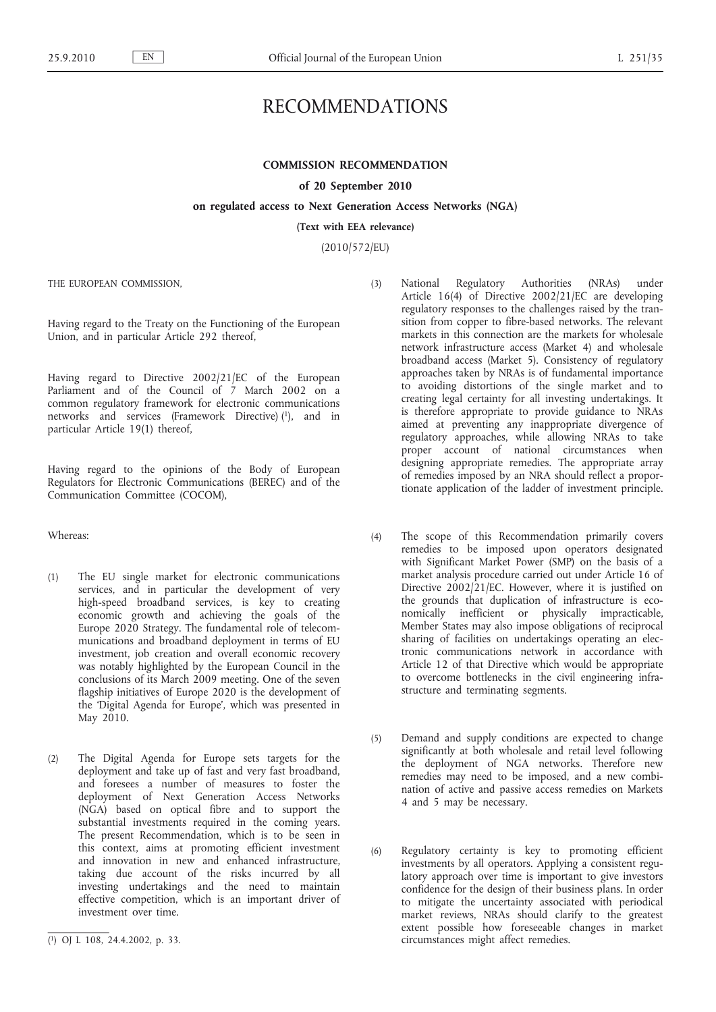# RECOMMENDATIONS

# **COMMISSION RECOMMENDATION**

## **of 20 September 2010**

# **on regulated access to Next Generation Access Networks (NGA)**

**(Text with EEA relevance)**

(2010/572/EU)

THE EUROPEAN COMMISSION,

Having regard to the Treaty on the Functioning of the European Union, and in particular Article 292 thereof,

Having regard to Directive 2002/21/EC of the European Parliament and of the Council of 7 March 2002 on a common regulatory framework for electronic communications networks and services (Framework Directive) (1), and in particular Article 19(1) thereof,

Having regard to the opinions of the Body of European Regulators for Electronic Communications (BEREC) and of the Communication Committee (COCOM),

Whereas:

- (1) The EU single market for electronic communications services, and in particular the development of very high-speed broadband services, is key to creating economic growth and achieving the goals of the Europe 2020 Strategy. The fundamental role of telecommunications and broadband deployment in terms of EU investment, job creation and overall economic recovery was notably highlighted by the European Council in the conclusions of its March 2009 meeting. One of the seven flagship initiatives of Europe 2020 is the development of the 'Digital Agenda for Europe', which was presented in May 2010.
- (2) The Digital Agenda for Europe sets targets for the deployment and take up of fast and very fast broadband, and foresees a number of measures to foster the deployment of Next Generation Access Networks (NGA) based on optical fibre and to support the substantial investments required in the coming years. The present Recommendation, which is to be seen in this context, aims at promoting efficient investment and innovation in new and enhanced infrastructure, taking due account of the risks incurred by all investing undertakings and the need to maintain effective competition, which is an important driver of investment over time.
- (3) National Regulatory Authorities (NRAs) under Article 16(4) of Directive 2002/21/EC are developing regulatory responses to the challenges raised by the transition from copper to fibre-based networks. The relevant markets in this connection are the markets for wholesale network infrastructure access (Market 4) and wholesale broadband access (Market 5). Consistency of regulatory approaches taken by NRAs is of fundamental importance to avoiding distortions of the single market and to creating legal certainty for all investing undertakings. It is therefore appropriate to provide guidance to NRAs aimed at preventing any inappropriate divergence of regulatory approaches, while allowing NRAs to take proper account of national circumstances when designing appropriate remedies. The appropriate array of remedies imposed by an NRA should reflect a proportionate application of the ladder of investment principle.
- (4) The scope of this Recommendation primarily covers remedies to be imposed upon operators designated with Significant Market Power (SMP) on the basis of a market analysis procedure carried out under Article 16 of Directive  $2002/21$ /EC. However, where it is justified on the grounds that duplication of infrastructure is economically inefficient or physically impracticable, Member States may also impose obligations of reciprocal sharing of facilities on undertakings operating an electronic communications network in accordance with Article 12 of that Directive which would be appropriate to overcome bottlenecks in the civil engineering infrastructure and terminating segments.
- (5) Demand and supply conditions are expected to change significantly at both wholesale and retail level following the deployment of NGA networks. Therefore new remedies may need to be imposed, and a new combination of active and passive access remedies on Markets 4 and 5 may be necessary.
- (6) Regulatory certainty is key to promoting efficient investments by all operators. Applying a consistent regulatory approach over time is important to give investors confidence for the design of their business plans. In order to mitigate the uncertainty associated with periodical market reviews, NRAs should clarify to the greatest extent possible how foreseeable changes in market circumstances might affect remedies.

<sup>(</sup> 1) OJ L 108, 24.4.2002, p. 33.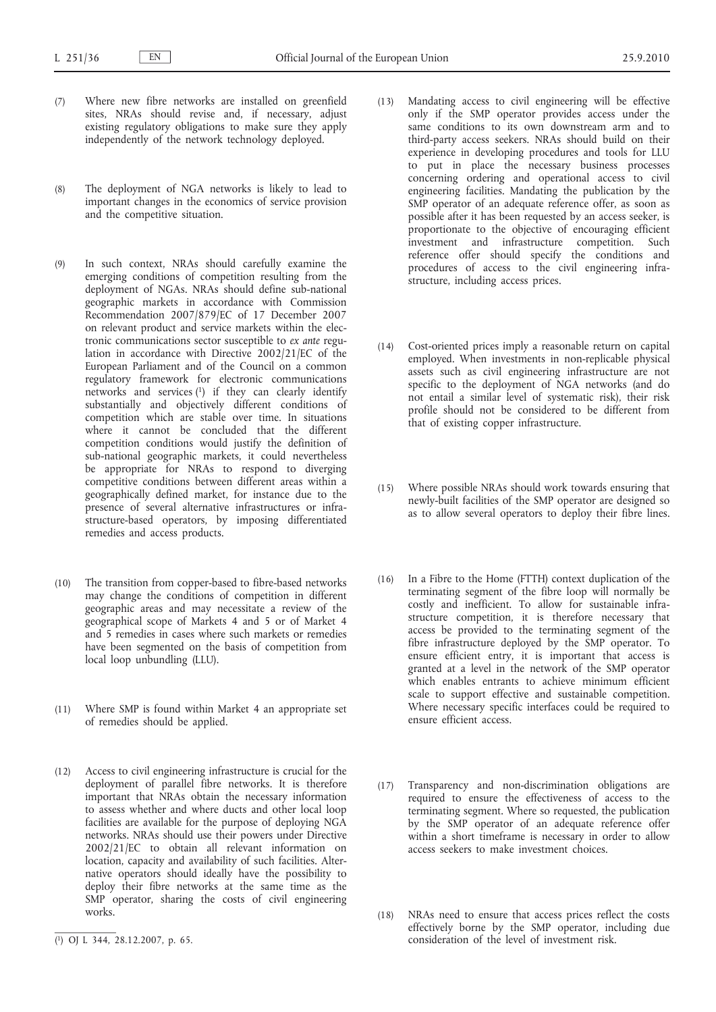- (7) Where new fibre networks are installed on greenfield sites, NRAs should revise and, if necessary, adjust existing regulatory obligations to make sure they apply independently of the network technology deployed.
- (8) The deployment of NGA networks is likely to lead to important changes in the economics of service provision and the competitive situation.
- (9) In such context, NRAs should carefully examine the emerging conditions of competition resulting from the deployment of NGAs. NRAs should define sub-national geographic markets in accordance with Commission Recommendation 2007/879/EC of 17 December 2007 on relevant product and service markets within the electronic communications sector susceptible to *ex ante* regulation in accordance with Directive 2002/21/EC of the European Parliament and of the Council on a common regulatory framework for electronic communications networks and services (1) if they can clearly identify substantially and objectively different conditions of competition which are stable over time. In situations where it cannot be concluded that the different competition conditions would justify the definition of sub-national geographic markets, it could nevertheless be appropriate for NRAs to respond to diverging competitive conditions between different areas within a geographically defined market, for instance due to the presence of several alternative infrastructures or infrastructure-based operators, by imposing differentiated remedies and access products.
- (10) The transition from copper-based to fibre-based networks may change the conditions of competition in different geographic areas and may necessitate a review of the geographical scope of Markets 4 and 5 or of Market 4 and 5 remedies in cases where such markets or remedies have been segmented on the basis of competition from local loop unbundling (LLU).
- (11) Where SMP is found within Market 4 an appropriate set of remedies should be applied.
- (12) Access to civil engineering infrastructure is crucial for the deployment of parallel fibre networks. It is therefore important that NRAs obtain the necessary information to assess whether and where ducts and other local loop facilities are available for the purpose of deploying NGA networks. NRAs should use their powers under Directive 2002/21/EC to obtain all relevant information on location, capacity and availability of such facilities. Alternative operators should ideally have the possibility to deploy their fibre networks at the same time as the SMP operator, sharing the costs of civil engineering works.
- (13) Mandating access to civil engineering will be effective only if the SMP operator provides access under the same conditions to its own downstream arm and to third-party access seekers. NRAs should build on their experience in developing procedures and tools for LLU to put in place the necessary business processes concerning ordering and operational access to civil engineering facilities. Mandating the publication by the SMP operator of an adequate reference offer, as soon as possible after it has been requested by an access seeker, is proportionate to the objective of encouraging efficient investment and infrastructure competition. Such reference offer should specify the conditions and procedures of access to the civil engineering infrastructure, including access prices.
- (14) Cost-oriented prices imply a reasonable return on capital employed. When investments in non-replicable physical assets such as civil engineering infrastructure are not specific to the deployment of NGA networks (and do not entail a similar level of systematic risk), their risk profile should not be considered to be different from that of existing copper infrastructure.
- (15) Where possible NRAs should work towards ensuring that newly-built facilities of the SMP operator are designed so as to allow several operators to deploy their fibre lines.
- (16) In a Fibre to the Home (FTTH) context duplication of the terminating segment of the fibre loop will normally be costly and inefficient. To allow for sustainable infrastructure competition, it is therefore necessary that access be provided to the terminating segment of the fibre infrastructure deployed by the SMP operator. To ensure efficient entry, it is important that access is granted at a level in the network of the SMP operator which enables entrants to achieve minimum efficient scale to support effective and sustainable competition. Where necessary specific interfaces could be required to ensure efficient access.
- (17) Transparency and non-discrimination obligations are required to ensure the effectiveness of access to the terminating segment. Where so requested, the publication by the SMP operator of an adequate reference offer within a short timeframe is necessary in order to allow access seekers to make investment choices.
- (18) NRAs need to ensure that access prices reflect the costs effectively borne by the SMP operator, including due consideration of the level of investment risk.

<sup>(</sup> 1) OJ L 344, 28.12.2007, p. 65.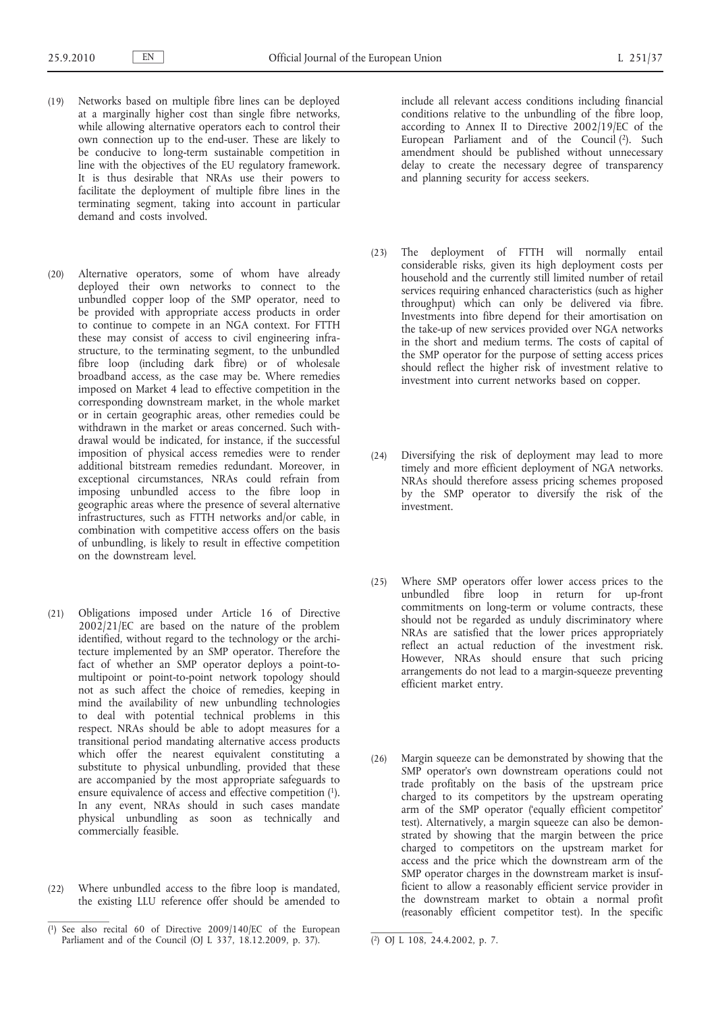- (19) Networks based on multiple fibre lines can be deployed at a marginally higher cost than single fibre networks, while allowing alternative operators each to control their own connection up to the end-user. These are likely to be conducive to long-term sustainable competition in line with the objectives of the EU regulatory framework. It is thus desirable that NRAs use their powers to facilitate the deployment of multiple fibre lines in the terminating segment, taking into account in particular demand and costs involved.
- (20) Alternative operators, some of whom have already deployed their own networks to connect to the unbundled copper loop of the SMP operator, need to be provided with appropriate access products in order to continue to compete in an NGA context. For FTTH these may consist of access to civil engineering infrastructure, to the terminating segment, to the unbundled fibre loop (including dark fibre) or of wholesale broadband access, as the case may be. Where remedies imposed on Market 4 lead to effective competition in the corresponding downstream market, in the whole market or in certain geographic areas, other remedies could be withdrawn in the market or areas concerned. Such withdrawal would be indicated, for instance, if the successful imposition of physical access remedies were to render additional bitstream remedies redundant. Moreover, in exceptional circumstances, NRAs could refrain from imposing unbundled access to the fibre loop in geographic areas where the presence of several alternative infrastructures, such as FTTH networks and/or cable, in combination with competitive access offers on the basis of unbundling, is likely to result in effective competition on the downstream level.
- (21) Obligations imposed under Article 16 of Directive 2002/21/EC are based on the nature of the problem identified, without regard to the technology or the architecture implemented by an SMP operator. Therefore the fact of whether an SMP operator deploys a point-tomultipoint or point-to-point network topology should not as such affect the choice of remedies, keeping in mind the availability of new unbundling technologies to deal with potential technical problems in this respect. NRAs should be able to adopt measures for a transitional period mandating alternative access products which offer the nearest equivalent constituting a substitute to physical unbundling, provided that these are accompanied by the most appropriate safeguards to ensure equivalence of access and effective competition (1). In any event, NRAs should in such cases mandate physical unbundling as soon as technically and commercially feasible.
- (22) Where unbundled access to the fibre loop is mandated, the existing LLU reference offer should be amended to

include all relevant access conditions including financial conditions relative to the unbundling of the fibre loop, according to Annex II to Directive 2002/19/EC of the European Parliament and of the Council (2). Such amendment should be published without unnecessary delay to create the necessary degree of transparency and planning security for access seekers.

- (23) The deployment of FTTH will normally entail considerable risks, given its high deployment costs per household and the currently still limited number of retail services requiring enhanced characteristics (such as higher throughput) which can only be delivered via fibre. Investments into fibre depend for their amortisation on the take-up of new services provided over NGA networks in the short and medium terms. The costs of capital of the SMP operator for the purpose of setting access prices should reflect the higher risk of investment relative to investment into current networks based on copper.
- (24) Diversifying the risk of deployment may lead to more timely and more efficient deployment of NGA networks. NRAs should therefore assess pricing schemes proposed by the SMP operator to diversify the risk of the investment.
- (25) Where SMP operators offer lower access prices to the unbundled fibre loop in return for up-front commitments on long-term or volume contracts, these should not be regarded as unduly discriminatory where NRAs are satisfied that the lower prices appropriately reflect an actual reduction of the investment risk. However, NRAs should ensure that such pricing arrangements do not lead to a margin-squeeze preventing efficient market entry.
- (26) Margin squeeze can be demonstrated by showing that the SMP operator's own downstream operations could not trade profitably on the basis of the upstream price charged to its competitors by the upstream operating arm of the SMP operator ('equally efficient competitor' test). Alternatively, a margin squeeze can also be demonstrated by showing that the margin between the price charged to competitors on the upstream market for access and the price which the downstream arm of the SMP operator charges in the downstream market is insufficient to allow a reasonably efficient service provider in the downstream market to obtain a normal profit (reasonably efficient competitor test). In the specific

<sup>(</sup> 1) See also recital 60 of Directive 2009/140/EC of the European Parliament and of the Council (OJ L 337, 18.12.2009, p. 37). (2) OJ L 108, 24.4.2002, p. 7.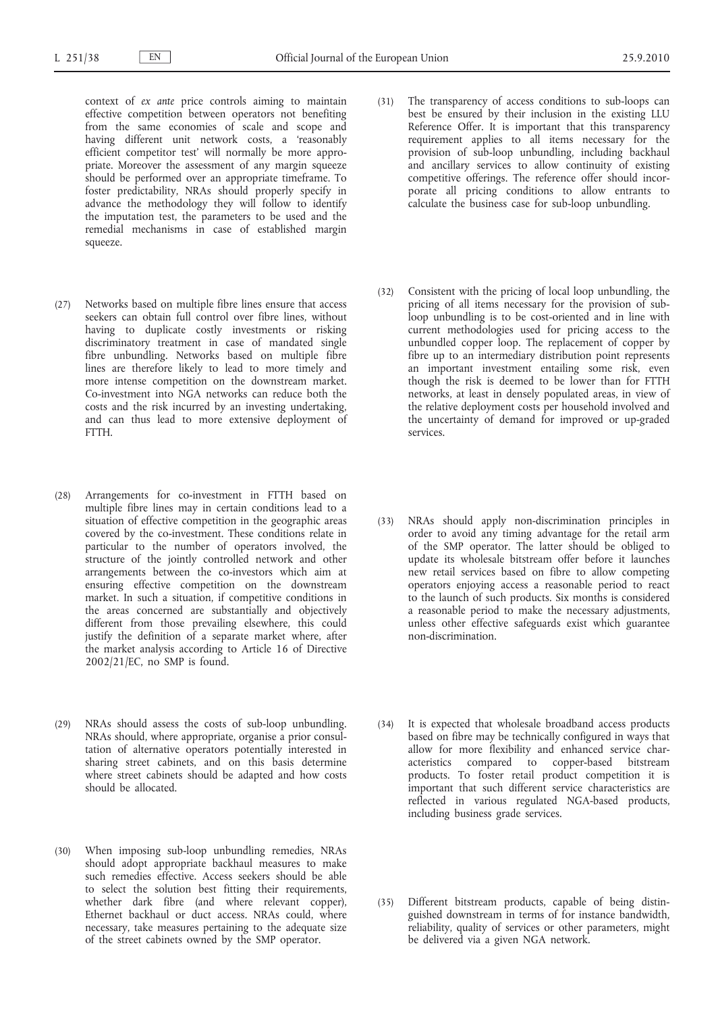- context of *ex ante* price controls aiming to maintain effective competition between operators not benefiting from the same economies of scale and scope and having different unit network costs, a 'reasonably efficient competitor test' will normally be more appropriate. Moreover the assessment of any margin squeeze should be performed over an appropriate timeframe. To foster predictability, NRAs should properly specify in advance the methodology they will follow to identify the imputation test, the parameters to be used and the remedial mechanisms in case of established margin squeeze.
- (27) Networks based on multiple fibre lines ensure that access seekers can obtain full control over fibre lines, without having to duplicate costly investments or risking discriminatory treatment in case of mandated single fibre unbundling. Networks based on multiple fibre lines are therefore likely to lead to more timely and more intense competition on the downstream market. Co-investment into NGA networks can reduce both the costs and the risk incurred by an investing undertaking, and can thus lead to more extensive deployment of FTTH.
- (28) Arrangements for co-investment in FTTH based on multiple fibre lines may in certain conditions lead to a situation of effective competition in the geographic areas covered by the co-investment. These conditions relate in particular to the number of operators involved, the structure of the jointly controlled network and other arrangements between the co-investors which aim at ensuring effective competition on the downstream market. In such a situation, if competitive conditions in the areas concerned are substantially and objectively different from those prevailing elsewhere, this could justify the definition of a separate market where, after the market analysis according to Article 16 of Directive 2002/21/EC, no SMP is found.
- (29) NRAs should assess the costs of sub-loop unbundling. NRAs should, where appropriate, organise a prior consultation of alternative operators potentially interested in sharing street cabinets, and on this basis determine where street cabinets should be adapted and how costs should be allocated.
- (30) When imposing sub-loop unbundling remedies, NRAs should adopt appropriate backhaul measures to make such remedies effective. Access seekers should be able to select the solution best fitting their requirements, whether dark fibre (and where relevant copper), Ethernet backhaul or duct access. NRAs could, where necessary, take measures pertaining to the adequate size of the street cabinets owned by the SMP operator.
- (31) The transparency of access conditions to sub-loops can best be ensured by their inclusion in the existing LLU Reference Offer. It is important that this transparency requirement applies to all items necessary for the provision of sub-loop unbundling, including backhaul and ancillary services to allow continuity of existing competitive offerings. The reference offer should incorporate all pricing conditions to allow entrants to calculate the business case for sub-loop unbundling.
- (32) Consistent with the pricing of local loop unbundling, the pricing of all items necessary for the provision of subloop unbundling is to be cost-oriented and in line with current methodologies used for pricing access to the unbundled copper loop. The replacement of copper by fibre up to an intermediary distribution point represents an important investment entailing some risk, even though the risk is deemed to be lower than for FTTH networks, at least in densely populated areas, in view of the relative deployment costs per household involved and the uncertainty of demand for improved or up-graded services.
- (33) NRAs should apply non-discrimination principles in order to avoid any timing advantage for the retail arm of the SMP operator. The latter should be obliged to update its wholesale bitstream offer before it launches new retail services based on fibre to allow competing operators enjoying access a reasonable period to react to the launch of such products. Six months is considered a reasonable period to make the necessary adjustments, unless other effective safeguards exist which guarantee non-discrimination.
- (34) It is expected that wholesale broadband access products based on fibre may be technically configured in ways that allow for more flexibility and enhanced service characteristics compared to copper-based bitstream products. To foster retail product competition it is important that such different service characteristics are reflected in various regulated NGA-based products, including business grade services.
- (35) Different bitstream products, capable of being distinguished downstream in terms of for instance bandwidth, reliability, quality of services or other parameters, might be delivered via a given NGA network.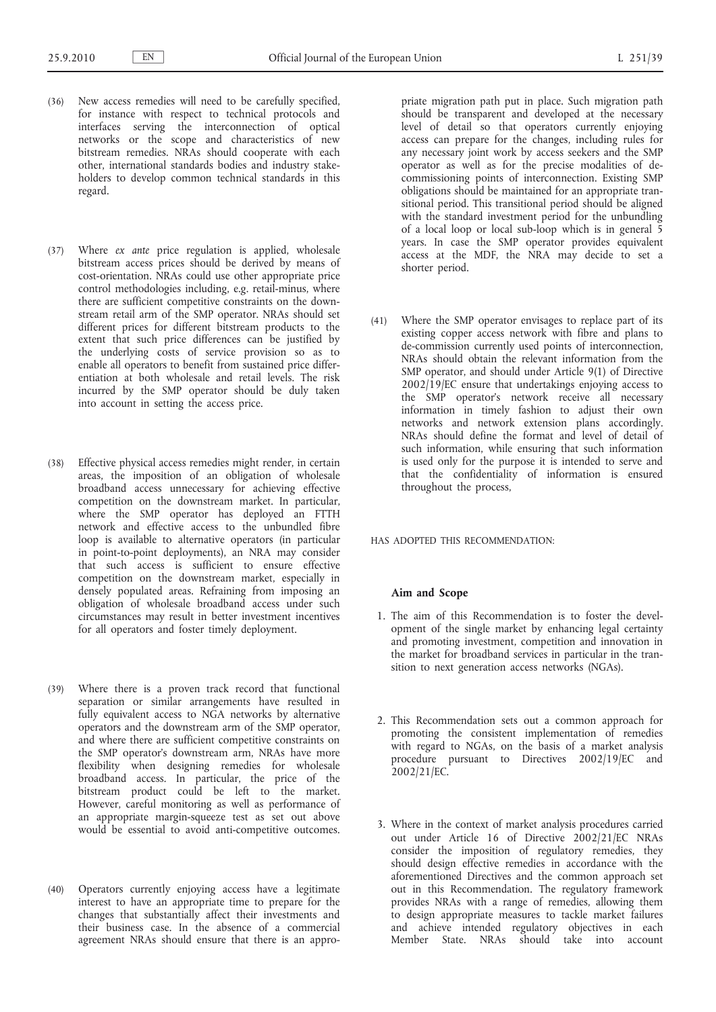- (36) New access remedies will need to be carefully specified, for instance with respect to technical protocols and interfaces serving the interconnection of optical networks or the scope and characteristics of new bitstream remedies. NRAs should cooperate with each other, international standards bodies and industry stakeholders to develop common technical standards in this regard.
- (37) Where *ex ante* price regulation is applied, wholesale bitstream access prices should be derived by means of cost-orientation. NRAs could use other appropriate price control methodologies including, e.g. retail-minus, where there are sufficient competitive constraints on the downstream retail arm of the SMP operator. NRAs should set different prices for different bitstream products to the extent that such price differences can be justified by the underlying costs of service provision so as to enable all operators to benefit from sustained price differentiation at both wholesale and retail levels. The risk incurred by the SMP operator should be duly taken into account in setting the access price.
- (38) Effective physical access remedies might render, in certain areas, the imposition of an obligation of wholesale broadband access unnecessary for achieving effective competition on the downstream market. In particular, where the SMP operator has deployed an FTTH network and effective access to the unbundled fibre loop is available to alternative operators (in particular in point-to-point deployments), an NRA may consider that such access is sufficient to ensure effective competition on the downstream market, especially in densely populated areas. Refraining from imposing an obligation of wholesale broadband access under such circumstances may result in better investment incentives for all operators and foster timely deployment.
- (39) Where there is a proven track record that functional separation or similar arrangements have resulted in fully equivalent access to NGA networks by alternative operators and the downstream arm of the SMP operator, and where there are sufficient competitive constraints on the SMP operator's downstream arm, NRAs have more flexibility when designing remedies for wholesale broadband access. In particular, the price of the bitstream product could be left to the market. However, careful monitoring as well as performance of an appropriate margin-squeeze test as set out above would be essential to avoid anti-competitive outcomes.
- (40) Operators currently enjoying access have a legitimate interest to have an appropriate time to prepare for the changes that substantially affect their investments and their business case. In the absence of a commercial agreement NRAs should ensure that there is an appro-

priate migration path put in place. Such migration path should be transparent and developed at the necessary level of detail so that operators currently enjoying access can prepare for the changes, including rules for any necessary joint work by access seekers and the SMP operator as well as for the precise modalities of decommissioning points of interconnection. Existing SMP obligations should be maintained for an appropriate transitional period. This transitional period should be aligned with the standard investment period for the unbundling of a local loop or local sub-loop which is in general 5 years. In case the SMP operator provides equivalent access at the MDF, the NRA may decide to set a shorter period.

(41) Where the SMP operator envisages to replace part of its existing copper access network with fibre and plans to de-commission currently used points of interconnection, NRAs should obtain the relevant information from the SMP operator, and should under Article 9(1) of Directive 2002/19/EC ensure that undertakings enjoying access to the SMP operator's network receive all necessary information in timely fashion to adjust their own networks and network extension plans accordingly. NRAs should define the format and level of detail of such information, while ensuring that such information is used only for the purpose it is intended to serve and that the confidentiality of information is ensured throughout the process,

HAS ADOPTED THIS RECOMMENDATION:

# **Aim and Scope**

- 1. The aim of this Recommendation is to foster the development of the single market by enhancing legal certainty and promoting investment, competition and innovation in the market for broadband services in particular in the transition to next generation access networks (NGAs).
- 2. This Recommendation sets out a common approach for promoting the consistent implementation of remedies with regard to NGAs, on the basis of a market analysis procedure pursuant to Directives 2002/19/EC and 2002/21/EC.
- 3. Where in the context of market analysis procedures carried out under Article 16 of Directive 2002/21/EC NRAs consider the imposition of regulatory remedies, they should design effective remedies in accordance with the aforementioned Directives and the common approach set out in this Recommendation. The regulatory framework provides NRAs with a range of remedies, allowing them to design appropriate measures to tackle market failures and achieve intended regulatory objectives in each Member State. NRAs should take into account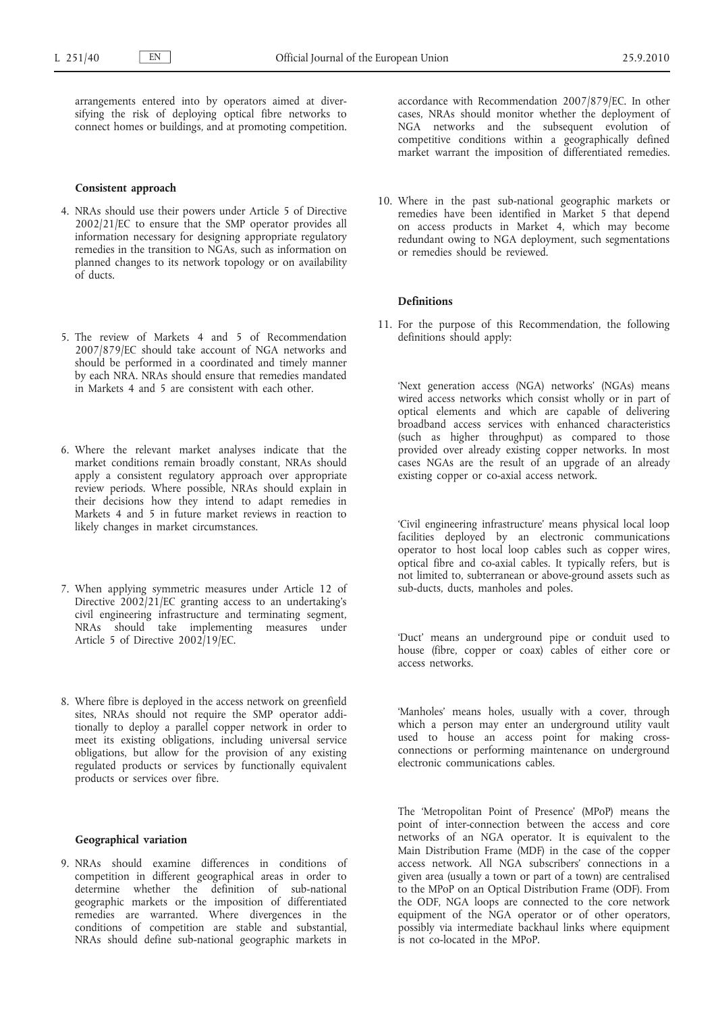arrangements entered into by operators aimed at diversifying the risk of deploying optical fibre networks to connect homes or buildings, and at promoting competition.

## **Consistent approach**

- 4. NRAs should use their powers under Article 5 of Directive 2002/21/EC to ensure that the SMP operator provides all information necessary for designing appropriate regulatory remedies in the transition to NGAs, such as information on planned changes to its network topology or on availability of ducts.
- 5. The review of Markets 4 and 5 of Recommendation 2007/879/EC should take account of NGA networks and should be performed in a coordinated and timely manner by each NRA. NRAs should ensure that remedies mandated in Markets 4 and 5 are consistent with each other.
- 6. Where the relevant market analyses indicate that the market conditions remain broadly constant, NRAs should apply a consistent regulatory approach over appropriate review periods. Where possible, NRAs should explain in their decisions how they intend to adapt remedies in Markets 4 and 5 in future market reviews in reaction to likely changes in market circumstances.
- 7. When applying symmetric measures under Article 12 of Directive 2002/21/EC granting access to an undertaking's civil engineering infrastructure and terminating segment, NRAs should take implementing measures under Article 5 of Directive 2002/19/EC.
- 8. Where fibre is deployed in the access network on greenfield sites, NRAs should not require the SMP operator additionally to deploy a parallel copper network in order to meet its existing obligations, including universal service obligations, but allow for the provision of any existing regulated products or services by functionally equivalent products or services over fibre.

# **Geographical variation**

9. NRAs should examine differences in conditions of competition in different geographical areas in order to determine whether the definition of sub-national geographic markets or the imposition of differentiated remedies are warranted. Where divergences in the conditions of competition are stable and substantial, NRAs should define sub-national geographic markets in

accordance with Recommendation 2007/879/EC. In other cases, NRAs should monitor whether the deployment of NGA networks and the subsequent evolution of competitive conditions within a geographically defined market warrant the imposition of differentiated remedies.

10. Where in the past sub-national geographic markets or remedies have been identified in Market 5 that depend on access products in Market 4, which may become redundant owing to NGA deployment, such segmentations or remedies should be reviewed.

# **Definitions**

11. For the purpose of this Recommendation, the following definitions should apply:

'Next generation access (NGA) networks' (NGAs) means wired access networks which consist wholly or in part of optical elements and which are capable of delivering broadband access services with enhanced characteristics (such as higher throughput) as compared to those provided over already existing copper networks. In most cases NGAs are the result of an upgrade of an already existing copper or co-axial access network.

'Civil engineering infrastructure' means physical local loop facilities deployed by an electronic communications operator to host local loop cables such as copper wires, optical fibre and co-axial cables. It typically refers, but is not limited to, subterranean or above-ground assets such as sub-ducts, ducts, manholes and poles.

'Duct' means an underground pipe or conduit used to house (fibre, copper or coax) cables of either core or access networks.

'Manholes' means holes, usually with a cover, through which a person may enter an underground utility vault used to house an access point for making crossconnections or performing maintenance on underground electronic communications cables.

The 'Metropolitan Point of Presence' (MPoP) means the point of inter-connection between the access and core networks of an NGA operator. It is equivalent to the Main Distribution Frame (MDF) in the case of the copper access network. All NGA subscribers' connections in a given area (usually a town or part of a town) are centralised to the MPoP on an Optical Distribution Frame (ODF). From the ODF, NGA loops are connected to the core network equipment of the NGA operator or of other operators, possibly via intermediate backhaul links where equipment is not co-located in the MPoP.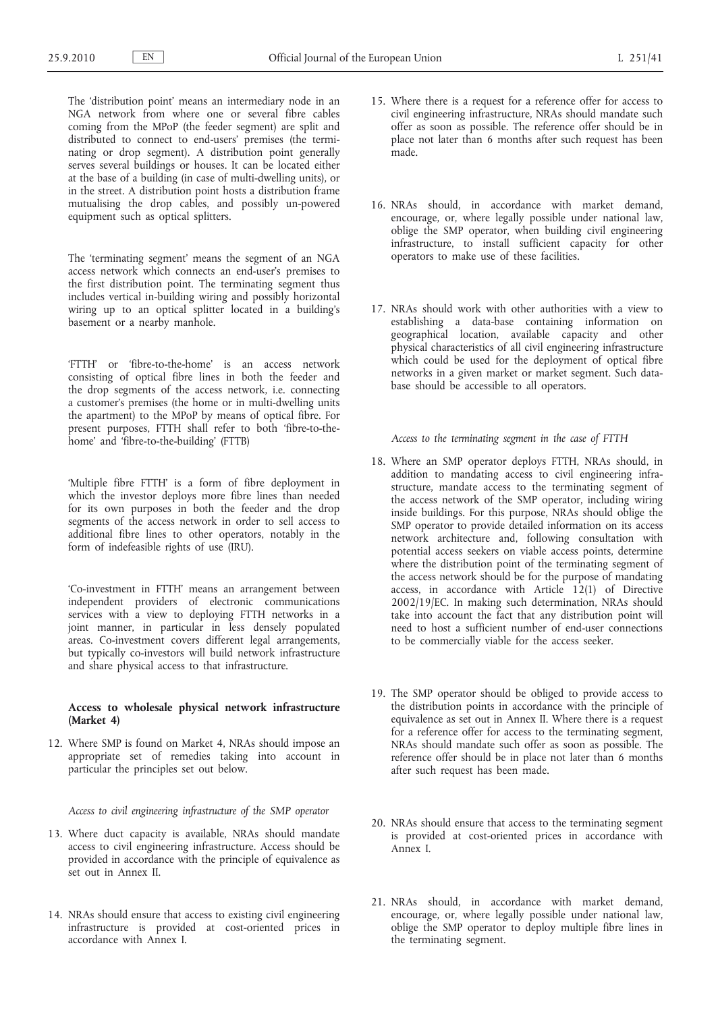The 'distribution point' means an intermediary node in an NGA network from where one or several fibre cables coming from the MPoP (the feeder segment) are split and distributed to connect to end-users' premises (the terminating or drop segment). A distribution point generally serves several buildings or houses. It can be located either at the base of a building (in case of multi-dwelling units), or in the street. A distribution point hosts a distribution frame mutualising the drop cables, and possibly un-powered equipment such as optical splitters.

The 'terminating segment' means the segment of an NGA access network which connects an end-user's premises to the first distribution point. The terminating segment thus includes vertical in-building wiring and possibly horizontal wiring up to an optical splitter located in a building's basement or a nearby manhole.

'FTTH' or 'fibre-to-the-home' is an access network consisting of optical fibre lines in both the feeder and the drop segments of the access network, i.e. connecting a customer's premises (the home or in multi-dwelling units the apartment) to the MPoP by means of optical fibre. For present purposes, FTTH shall refer to both 'fibre-to-thehome' and 'fibre-to-the-building' (FTTB)

'Multiple fibre FTTH' is a form of fibre deployment in which the investor deploys more fibre lines than needed for its own purposes in both the feeder and the drop segments of the access network in order to sell access to additional fibre lines to other operators, notably in the form of indefeasible rights of use (IRU).

'Co-investment in FTTH' means an arrangement between independent providers of electronic communications services with a view to deploying FTTH networks in a joint manner, in particular in less densely populated areas. Co-investment covers different legal arrangements, but typically co-investors will build network infrastructure and share physical access to that infrastructure.

# **Access to wholesale physical network infrastructure (Market 4)**

12. Where SMP is found on Market 4, NRAs should impose an appropriate set of remedies taking into account in particular the principles set out below.

*Access to civil engineering infrastructure of the SMP operator*

- 13. Where duct capacity is available, NRAs should mandate access to civil engineering infrastructure. Access should be provided in accordance with the principle of equivalence as set out in Annex II.
- 14. NRAs should ensure that access to existing civil engineering infrastructure is provided at cost-oriented prices in accordance with Annex I.
- 15. Where there is a request for a reference offer for access to civil engineering infrastructure, NRAs should mandate such offer as soon as possible. The reference offer should be in place not later than 6 months after such request has been made.
- 16. NRAs should, in accordance with market demand, encourage, or, where legally possible under national law, oblige the SMP operator, when building civil engineering infrastructure, to install sufficient capacity for other operators to make use of these facilities.
- 17. NRAs should work with other authorities with a view to establishing a data-base containing information on geographical location, available capacity and other physical characteristics of all civil engineering infrastructure which could be used for the deployment of optical fibre networks in a given market or market segment. Such database should be accessible to all operators.

*Access to the terminating segment in the case of FTTH*

- 18. Where an SMP operator deploys FTTH, NRAs should, in addition to mandating access to civil engineering infrastructure, mandate access to the terminating segment of the access network of the SMP operator, including wiring inside buildings. For this purpose, NRAs should oblige the SMP operator to provide detailed information on its access network architecture and, following consultation with potential access seekers on viable access points, determine where the distribution point of the terminating segment of the access network should be for the purpose of mandating access, in accordance with Article 12(1) of Directive 2002/19/EC. In making such determination, NRAs should take into account the fact that any distribution point will need to host a sufficient number of end-user connections to be commercially viable for the access seeker.
- 19. The SMP operator should be obliged to provide access to the distribution points in accordance with the principle of equivalence as set out in Annex II. Where there is a request for a reference offer for access to the terminating segment, NRAs should mandate such offer as soon as possible. The reference offer should be in place not later than 6 months after such request has been made.
- 20. NRAs should ensure that access to the terminating segment is provided at cost-oriented prices in accordance with Annex I.
- 21. NRAs should, in accordance with market demand, encourage, or, where legally possible under national law, oblige the SMP operator to deploy multiple fibre lines in the terminating segment.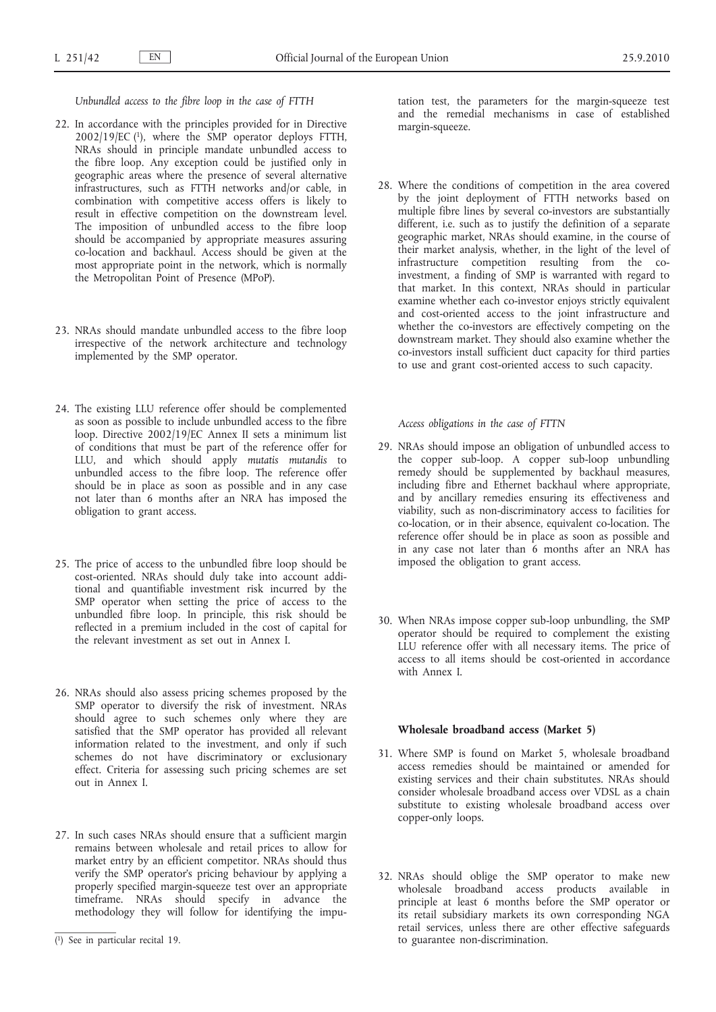*Unbundled access to the fibre loop in the case of FTTH*

- 22. In accordance with the principles provided for in Directive 2002/19/EC (1), where the SMP operator deploys FTTH, NRAs should in principle mandate unbundled access to the fibre loop. Any exception could be justified only in geographic areas where the presence of several alternative infrastructures, such as FTTH networks and/or cable, in combination with competitive access offers is likely to result in effective competition on the downstream level. The imposition of unbundled access to the fibre loop should be accompanied by appropriate measures assuring co-location and backhaul. Access should be given at the most appropriate point in the network, which is normally the Metropolitan Point of Presence (MPoP).
- 23. NRAs should mandate unbundled access to the fibre loop irrespective of the network architecture and technology implemented by the SMP operator.
- 24. The existing LLU reference offer should be complemented as soon as possible to include unbundled access to the fibre loop. Directive 2002/19/EC Annex II sets a minimum list of conditions that must be part of the reference offer for LLU, and which should apply *mutatis mutandis* to unbundled access to the fibre loop. The reference offer should be in place as soon as possible and in any case not later than 6 months after an NRA has imposed the obligation to grant access.
- 25. The price of access to the unbundled fibre loop should be cost-oriented. NRAs should duly take into account additional and quantifiable investment risk incurred by the SMP operator when setting the price of access to the unbundled fibre loop. In principle, this risk should be reflected in a premium included in the cost of capital for the relevant investment as set out in Annex I.
- 26. NRAs should also assess pricing schemes proposed by the SMP operator to diversify the risk of investment. NRAs should agree to such schemes only where they are satisfied that the SMP operator has provided all relevant information related to the investment, and only if such schemes do not have discriminatory or exclusionary effect. Criteria for assessing such pricing schemes are set out in Annex I.
- 27. In such cases NRAs should ensure that a sufficient margin remains between wholesale and retail prices to allow for market entry by an efficient competitor. NRAs should thus verify the SMP operator's pricing behaviour by applying a properly specified margin-squeeze test over an appropriate timeframe. NRAs should specify in advance the methodology they will follow for identifying the impu-

tation test, the parameters for the margin-squeeze test and the remedial mechanisms in case of established margin-squeeze.

28. Where the conditions of competition in the area covered by the joint deployment of FTTH networks based on multiple fibre lines by several co-investors are substantially different, i.e. such as to justify the definition of a separate geographic market, NRAs should examine, in the course of their market analysis, whether, in the light of the level of infrastructure competition resulting from the coinvestment, a finding of SMP is warranted with regard to that market. In this context, NRAs should in particular examine whether each co-investor enjoys strictly equivalent and cost-oriented access to the joint infrastructure and whether the co-investors are effectively competing on the downstream market. They should also examine whether the co-investors install sufficient duct capacity for third parties to use and grant cost-oriented access to such capacity.

*Access obligations in the case of FTTN*

- 29. NRAs should impose an obligation of unbundled access to the copper sub-loop. A copper sub-loop unbundling remedy should be supplemented by backhaul measures, including fibre and Ethernet backhaul where appropriate, and by ancillary remedies ensuring its effectiveness and viability, such as non-discriminatory access to facilities for co-location, or in their absence, equivalent co-location. The reference offer should be in place as soon as possible and in any case not later than 6 months after an NRA has imposed the obligation to grant access.
- 30. When NRAs impose copper sub-loop unbundling, the SMP operator should be required to complement the existing LLU reference offer with all necessary items. The price of access to all items should be cost-oriented in accordance with Annex I.

# **Wholesale broadband access (Market 5)**

- 31. Where SMP is found on Market 5, wholesale broadband access remedies should be maintained or amended for existing services and their chain substitutes. NRAs should consider wholesale broadband access over VDSL as a chain substitute to existing wholesale broadband access over copper-only loops.
- 32. NRAs should oblige the SMP operator to make new wholesale broadband access products available in principle at least 6 months before the SMP operator or its retail subsidiary markets its own corresponding NGA retail services, unless there are other effective safeguards to guarantee non-discrimination.

<sup>(</sup> 1) See in particular recital 19.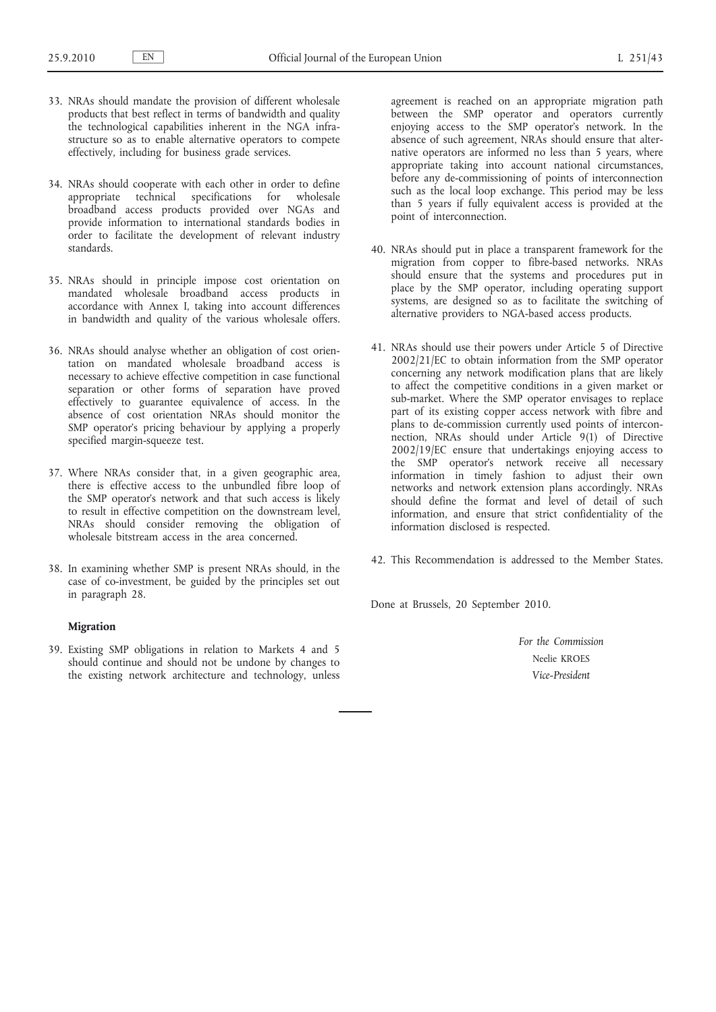- 33. NRAs should mandate the provision of different wholesale products that best reflect in terms of bandwidth and quality the technological capabilities inherent in the NGA infrastructure so as to enable alternative operators to compete effectively, including for business grade services.
- 34. NRAs should cooperate with each other in order to define appropriate technical specifications for wholesale broadband access products provided over NGAs and provide information to international standards bodies in order to facilitate the development of relevant industry standards.
- 35. NRAs should in principle impose cost orientation on mandated wholesale broadband access products in accordance with Annex I, taking into account differences in bandwidth and quality of the various wholesale offers.
- 36. NRAs should analyse whether an obligation of cost orientation on mandated wholesale broadband access is necessary to achieve effective competition in case functional separation or other forms of separation have proved effectively to guarantee equivalence of access. In the absence of cost orientation NRAs should monitor the SMP operator's pricing behaviour by applying a properly specified margin-squeeze test.
- 37. Where NRAs consider that, in a given geographic area, there is effective access to the unbundled fibre loop of the SMP operator's network and that such access is likely to result in effective competition on the downstream level, NRAs should consider removing the obligation of wholesale bitstream access in the area concerned.
- 38. In examining whether SMP is present NRAs should, in the case of co-investment, be guided by the principles set out in paragraph 28.

# **Migration**

39. Existing SMP obligations in relation to Markets 4 and 5 should continue and should not be undone by changes to the existing network architecture and technology, unless

agreement is reached on an appropriate migration path between the SMP operator and operators currently enjoying access to the SMP operator's network. In the absence of such agreement, NRAs should ensure that alternative operators are informed no less than 5 years, where appropriate taking into account national circumstances, before any de-commissioning of points of interconnection such as the local loop exchange. This period may be less than 5 years if fully equivalent access is provided at the point of interconnection.

- 40. NRAs should put in place a transparent framework for the migration from copper to fibre-based networks. NRAs should ensure that the systems and procedures put in place by the SMP operator, including operating support systems, are designed so as to facilitate the switching of alternative providers to NGA-based access products.
- 41. NRAs should use their powers under Article 5 of Directive 2002/21/EC to obtain information from the SMP operator concerning any network modification plans that are likely to affect the competitive conditions in a given market or sub-market. Where the SMP operator envisages to replace part of its existing copper access network with fibre and plans to de-commission currently used points of interconnection, NRAs should under Article 9(1) of Directive 2002/19/EC ensure that undertakings enjoying access to the SMP operator's network receive all necessary information in timely fashion to adjust their own networks and network extension plans accordingly. NRAs should define the format and level of detail of such information, and ensure that strict confidentiality of the information disclosed is respected.
- 42. This Recommendation is addressed to the Member States.

Done at Brussels, 20 September 2010.

*For the Commission* Neelie KROES *Vice-President*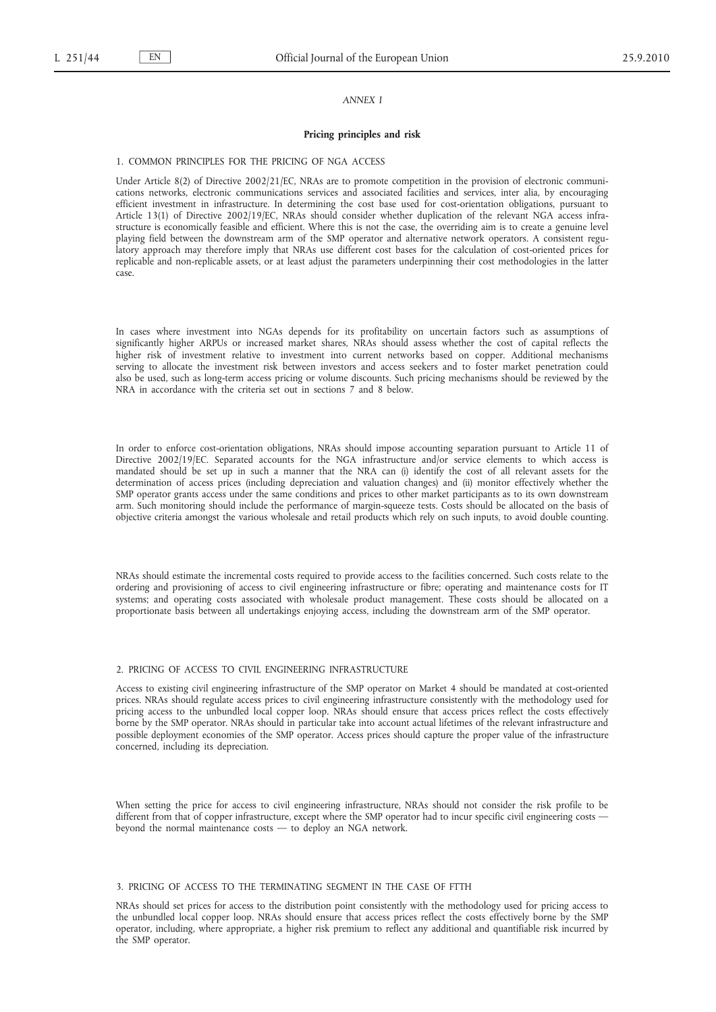### *ANNEX I*

#### **Pricing principles and risk**

#### 1. COMMON PRINCIPLES FOR THE PRICING OF NGA ACCESS

Under Article 8(2) of Directive 2002/21/EC, NRAs are to promote competition in the provision of electronic communications networks, electronic communications services and associated facilities and services, inter alia, by encouraging efficient investment in infrastructure. In determining the cost base used for cost-orientation obligations, pursuant to Article 13(1) of Directive 2002/19/EC, NRAs should consider whether duplication of the relevant NGA access infrastructure is economically feasible and efficient. Where this is not the case, the overriding aim is to create a genuine level playing field between the downstream arm of the SMP operator and alternative network operators. A consistent regulatory approach may therefore imply that NRAs use different cost bases for the calculation of cost-oriented prices for replicable and non-replicable assets, or at least adjust the parameters underpinning their cost methodologies in the latter case.

In cases where investment into NGAs depends for its profitability on uncertain factors such as assumptions of significantly higher ARPUs or increased market shares, NRAs should assess whether the cost of capital reflects the higher risk of investment relative to investment into current networks based on copper. Additional mechanisms serving to allocate the investment risk between investors and access seekers and to foster market penetration could also be used, such as long-term access pricing or volume discounts. Such pricing mechanisms should be reviewed by the NRA in accordance with the criteria set out in sections 7 and 8 below.

In order to enforce cost-orientation obligations, NRAs should impose accounting separation pursuant to Article 11 of Directive 2002/19/EC. Separated accounts for the NGA infrastructure and/or service elements to which access is mandated should be set up in such a manner that the NRA can (i) identify the cost of all relevant assets for the determination of access prices (including depreciation and valuation changes) and (ii) monitor effectively whether the SMP operator grants access under the same conditions and prices to other market participants as to its own downstream arm. Such monitoring should include the performance of margin-squeeze tests. Costs should be allocated on the basis of objective criteria amongst the various wholesale and retail products which rely on such inputs, to avoid double counting.

NRAs should estimate the incremental costs required to provide access to the facilities concerned. Such costs relate to the ordering and provisioning of access to civil engineering infrastructure or fibre; operating and maintenance costs for IT systems; and operating costs associated with wholesale product management. These costs should be allocated on a proportionate basis between all undertakings enjoying access, including the downstream arm of the SMP operator.

## 2. PRICING OF ACCESS TO CIVIL ENGINEERING INFRASTRUCTURE

Access to existing civil engineering infrastructure of the SMP operator on Market 4 should be mandated at cost-oriented prices. NRAs should regulate access prices to civil engineering infrastructure consistently with the methodology used for pricing access to the unbundled local copper loop. NRAs should ensure that access prices reflect the costs effectively borne by the SMP operator. NRAs should in particular take into account actual lifetimes of the relevant infrastructure and possible deployment economies of the SMP operator. Access prices should capture the proper value of the infrastructure concerned, including its depreciation.

When setting the price for access to civil engineering infrastructure, NRAs should not consider the risk profile to be different from that of copper infrastructure, except where the SMP operator had to incur specific civil engineering costs beyond the normal maintenance costs — to deploy an NGA network.

# 3. PRICING OF ACCESS TO THE TERMINATING SEGMENT IN THE CASE OF FTTH

NRAs should set prices for access to the distribution point consistently with the methodology used for pricing access to the unbundled local copper loop. NRAs should ensure that access prices reflect the costs effectively borne by the SMP operator, including, where appropriate, a higher risk premium to reflect any additional and quantifiable risk incurred by the SMP operator.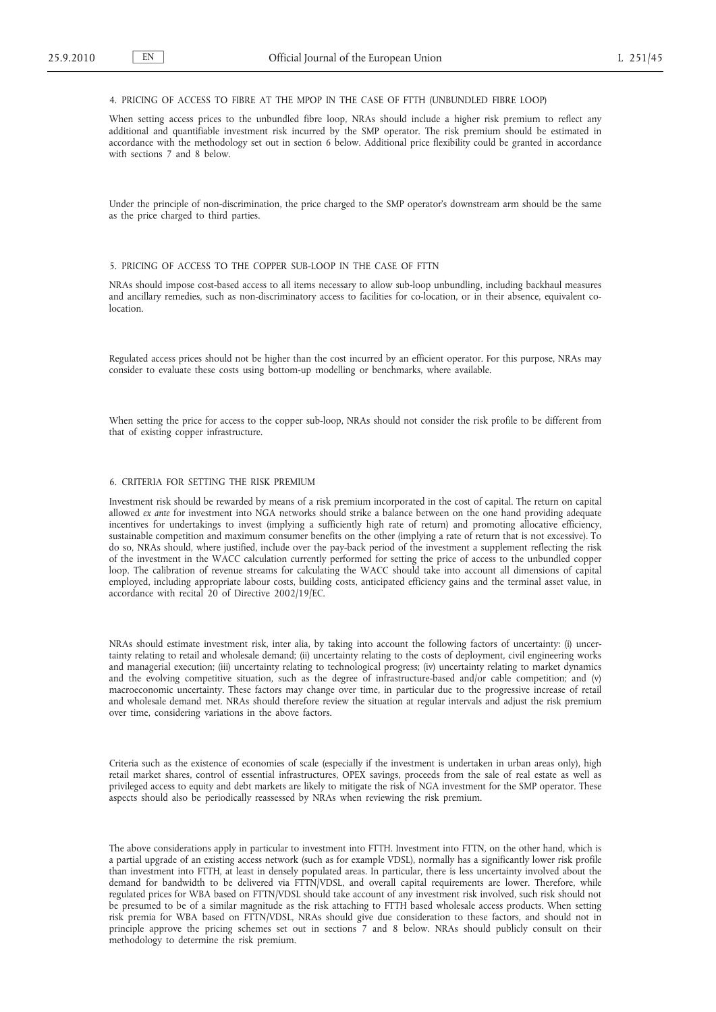# 4. PRICING OF ACCESS TO FIBRE AT THE MPOP IN THE CASE OF FTTH (UNBUNDLED FIBRE LOOP)

When setting access prices to the unbundled fibre loop, NRAs should include a higher risk premium to reflect any additional and quantifiable investment risk incurred by the SMP operator. The risk premium should be estimated in accordance with the methodology set out in section 6 below. Additional price flexibility could be granted in accordance with sections 7 and 8 below.

Under the principle of non-discrimination, the price charged to the SMP operator's downstream arm should be the same as the price charged to third parties.

#### 5. PRICING OF ACCESS TO THE COPPER SUB-LOOP IN THE CASE OF FTTN

NRAs should impose cost-based access to all items necessary to allow sub-loop unbundling, including backhaul measures and ancillary remedies, such as non-discriminatory access to facilities for co-location, or in their absence, equivalent co**location** 

Regulated access prices should not be higher than the cost incurred by an efficient operator. For this purpose, NRAs may consider to evaluate these costs using bottom-up modelling or benchmarks, where available.

When setting the price for access to the copper sub-loop, NRAs should not consider the risk profile to be different from that of existing copper infrastructure.

# 6. CRITERIA FOR SETTING THE RISK PREMIUM

Investment risk should be rewarded by means of a risk premium incorporated in the cost of capital. The return on capital allowed *ex ante* for investment into NGA networks should strike a balance between on the one hand providing adequate incentives for undertakings to invest (implying a sufficiently high rate of return) and promoting allocative efficiency, sustainable competition and maximum consumer benefits on the other (implying a rate of return that is not excessive). To do so, NRAs should, where justified, include over the pay-back period of the investment a supplement reflecting the risk of the investment in the WACC calculation currently performed for setting the price of access to the unbundled copper loop. The calibration of revenue streams for calculating the WACC should take into account all dimensions of capital employed, including appropriate labour costs, building costs, anticipated efficiency gains and the terminal asset value, in accordance with recital 20 of Directive 2002/19/EC.

NRAs should estimate investment risk, inter alia, by taking into account the following factors of uncertainty: (i) uncertainty relating to retail and wholesale demand; (ii) uncertainty relating to the costs of deployment, civil engineering works and managerial execution; (iii) uncertainty relating to technological progress; (iv) uncertainty relating to market dynamics and the evolving competitive situation, such as the degree of infrastructure-based and/or cable competition; and (v) macroeconomic uncertainty. These factors may change over time, in particular due to the progressive increase of retail and wholesale demand met. NRAs should therefore review the situation at regular intervals and adjust the risk premium over time, considering variations in the above factors.

Criteria such as the existence of economies of scale (especially if the investment is undertaken in urban areas only), high retail market shares, control of essential infrastructures, OPEX savings, proceeds from the sale of real estate as well as privileged access to equity and debt markets are likely to mitigate the risk of NGA investment for the SMP operator. These aspects should also be periodically reassessed by NRAs when reviewing the risk premium.

The above considerations apply in particular to investment into FTTH. Investment into FTTN, on the other hand, which is a partial upgrade of an existing access network (such as for example VDSL), normally has a significantly lower risk profile than investment into FTTH, at least in densely populated areas. In particular, there is less uncertainty involved about the demand for bandwidth to be delivered via FTTN/VDSL, and overall capital requirements are lower. Therefore, while regulated prices for WBA based on FTTN/VDSL should take account of any investment risk involved, such risk should not be presumed to be of a similar magnitude as the risk attaching to FTTH based wholesale access products. When setting risk premia for WBA based on FTTN/VDSL, NRAs should give due consideration to these factors, and should not in principle approve the pricing schemes set out in sections 7 and 8 below. NRAs should publicly consult on their methodology to determine the risk premium.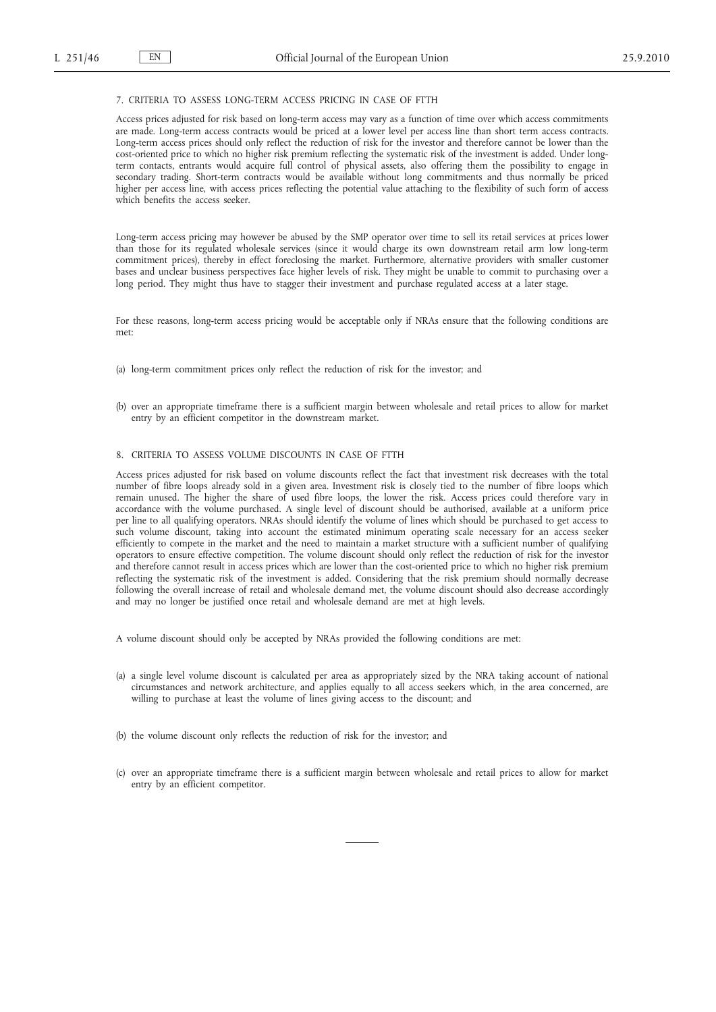# 7. CRITERIA TO ASSESS LONG-TERM ACCESS PRICING IN CASE OF FTTH

Access prices adjusted for risk based on long-term access may vary as a function of time over which access commitments are made. Long-term access contracts would be priced at a lower level per access line than short term access contracts. Long-term access prices should only reflect the reduction of risk for the investor and therefore cannot be lower than the cost-oriented price to which no higher risk premium reflecting the systematic risk of the investment is added. Under longterm contacts, entrants would acquire full control of physical assets, also offering them the possibility to engage in secondary trading. Short-term contracts would be available without long commitments and thus normally be priced higher per access line, with access prices reflecting the potential value attaching to the flexibility of such form of access which benefits the access seeker.

Long-term access pricing may however be abused by the SMP operator over time to sell its retail services at prices lower than those for its regulated wholesale services (since it would charge its own downstream retail arm low long-term commitment prices), thereby in effect foreclosing the market. Furthermore, alternative providers with smaller customer bases and unclear business perspectives face higher levels of risk. They might be unable to commit to purchasing over a long period. They might thus have to stagger their investment and purchase regulated access at a later stage.

For these reasons, long-term access pricing would be acceptable only if NRAs ensure that the following conditions are met:

- (a) long-term commitment prices only reflect the reduction of risk for the investor; and
- (b) over an appropriate timeframe there is a sufficient margin between wholesale and retail prices to allow for market entry by an efficient competitor in the downstream market.

## 8. CRITERIA TO ASSESS VOLUME DISCOUNTS IN CASE OF FTTH

Access prices adjusted for risk based on volume discounts reflect the fact that investment risk decreases with the total number of fibre loops already sold in a given area. Investment risk is closely tied to the number of fibre loops which remain unused. The higher the share of used fibre loops, the lower the risk. Access prices could therefore vary in accordance with the volume purchased. A single level of discount should be authorised, available at a uniform price per line to all qualifying operators. NRAs should identify the volume of lines which should be purchased to get access to such volume discount, taking into account the estimated minimum operating scale necessary for an access seeker efficiently to compete in the market and the need to maintain a market structure with a sufficient number of qualifying operators to ensure effective competition. The volume discount should only reflect the reduction of risk for the investor and therefore cannot result in access prices which are lower than the cost-oriented price to which no higher risk premium reflecting the systematic risk of the investment is added. Considering that the risk premium should normally decrease following the overall increase of retail and wholesale demand met, the volume discount should also decrease accordingly and may no longer be justified once retail and wholesale demand are met at high levels.

A volume discount should only be accepted by NRAs provided the following conditions are met:

- (a) a single level volume discount is calculated per area as appropriately sized by the NRA taking account of national circumstances and network architecture, and applies equally to all access seekers which, in the area concerned, are willing to purchase at least the volume of lines giving access to the discount; and
- (b) the volume discount only reflects the reduction of risk for the investor; and
- (c) over an appropriate timeframe there is a sufficient margin between wholesale and retail prices to allow for market entry by an efficient competitor.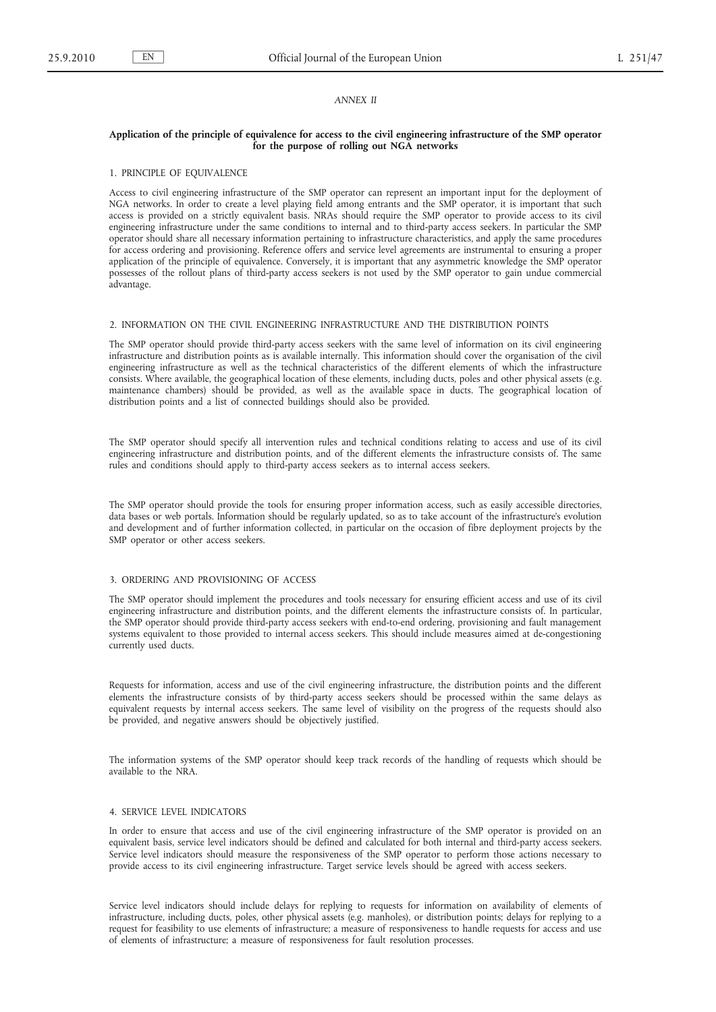## *ANNEX II*

## **Application of the principle of equivalence for access to the civil engineering infrastructure of the SMP operator for the purpose of rolling out NGA networks**

### 1. PRINCIPLE OF EQUIVALENCE

Access to civil engineering infrastructure of the SMP operator can represent an important input for the deployment of NGA networks. In order to create a level playing field among entrants and the SMP operator, it is important that such access is provided on a strictly equivalent basis. NRAs should require the SMP operator to provide access to its civil engineering infrastructure under the same conditions to internal and to third-party access seekers. In particular the SMP operator should share all necessary information pertaining to infrastructure characteristics, and apply the same procedures for access ordering and provisioning. Reference offers and service level agreements are instrumental to ensuring a proper application of the principle of equivalence. Conversely, it is important that any asymmetric knowledge the SMP operator possesses of the rollout plans of third-party access seekers is not used by the SMP operator to gain undue commercial advantage.

## 2. INFORMATION ON THE CIVIL ENGINEERING INFRASTRUCTURE AND THE DISTRIBUTION POINTS

The SMP operator should provide third-party access seekers with the same level of information on its civil engineering infrastructure and distribution points as is available internally. This information should cover the organisation of the civil engineering infrastructure as well as the technical characteristics of the different elements of which the infrastructure consists. Where available, the geographical location of these elements, including ducts, poles and other physical assets (e.g. maintenance chambers) should be provided, as well as the available space in ducts. The geographical location of distribution points and a list of connected buildings should also be provided.

The SMP operator should specify all intervention rules and technical conditions relating to access and use of its civil engineering infrastructure and distribution points, and of the different elements the infrastructure consists of. The same rules and conditions should apply to third-party access seekers as to internal access seekers.

The SMP operator should provide the tools for ensuring proper information access, such as easily accessible directories, data bases or web portals. Information should be regularly updated, so as to take account of the infrastructure's evolution and development and of further information collected, in particular on the occasion of fibre deployment projects by the SMP operator or other access seekers.

### 3. ORDERING AND PROVISIONING OF ACCESS

The SMP operator should implement the procedures and tools necessary for ensuring efficient access and use of its civil engineering infrastructure and distribution points, and the different elements the infrastructure consists of. In particular, the SMP operator should provide third-party access seekers with end-to-end ordering, provisioning and fault management systems equivalent to those provided to internal access seekers. This should include measures aimed at de-congestioning currently used ducts.

Requests for information, access and use of the civil engineering infrastructure, the distribution points and the different elements the infrastructure consists of by third-party access seekers should be processed within the same delays as equivalent requests by internal access seekers. The same level of visibility on the progress of the requests should also be provided, and negative answers should be objectively justified.

The information systems of the SMP operator should keep track records of the handling of requests which should be available to the NRA.

## 4. SERVICE LEVEL INDICATORS

In order to ensure that access and use of the civil engineering infrastructure of the SMP operator is provided on an equivalent basis, service level indicators should be defined and calculated for both internal and third-party access seekers. Service level indicators should measure the responsiveness of the SMP operator to perform those actions necessary to provide access to its civil engineering infrastructure. Target service levels should be agreed with access seekers.

Service level indicators should include delays for replying to requests for information on availability of elements of infrastructure, including ducts, poles, other physical assets (e.g. manholes), or distribution points; delays for replying to a request for feasibility to use elements of infrastructure; a measure of responsiveness to handle requests for access and use of elements of infrastructure; a measure of responsiveness for fault resolution processes.